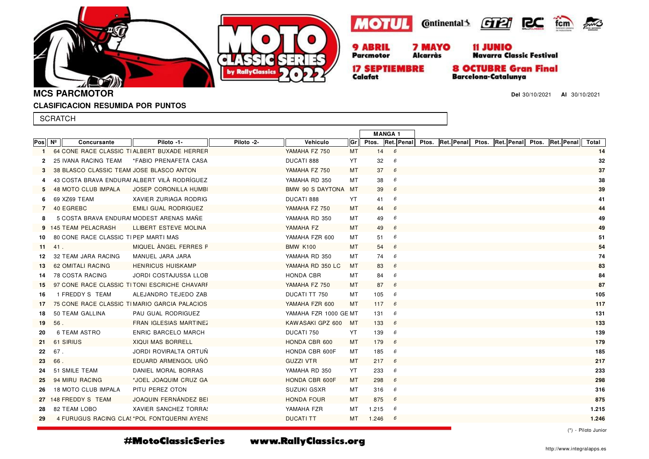





**Alcarràs** 



**17 SEPTIEMBRE** Calafat

**Parcmotor** 

**8 OCTUBRE Gran Final Barcelona-Catalunya** 

**Del** 30/10/2021 **Al** 30/10/2021

 $PMS$ 

**MCS PARCMOTOR**

#### **CLASIFICACION RESUMIDA POR PUNTOS**

|      | <b>SCRATCH</b> |                                          |                                              |            |                       |           |               |     |  |                                                                     |  |       |  |
|------|----------------|------------------------------------------|----------------------------------------------|------------|-----------------------|-----------|---------------|-----|--|---------------------------------------------------------------------|--|-------|--|
|      |                |                                          |                                              |            |                       |           | <b>MANGA1</b> |     |  |                                                                     |  |       |  |
| Pos∥ | Nº             | Concursante                              | Piloto -1-                                   | Piloto -2- | Vehiculo              | Grl       |               |     |  | Ptos. Ret. Penal Ptos. Ret. Penal Ptos. Ret. Penal Ptos. Ret. Penal |  | Total |  |
| -1   |                |                                          | 64 CONE RACE CLASSIC TIALBERT BUXADE HERRER  |            | YAMAHA FZ 750         | <b>MT</b> | 14            | 6   |  |                                                                     |  | 14    |  |
| 2    |                | <b>25 IVANA RACING TEAM</b>              | *FABIO PRENAFETA CASA                        |            | DUCATI 888            | YT        | 32            | 6   |  |                                                                     |  | 32    |  |
| 3    |                | 38 BLASCO CLASSIC TEAM JOSE BLASCO ANTON |                                              |            | YAMAHA FZ 750         | МT        | 37            | 6   |  |                                                                     |  | 37    |  |
|      |                |                                          | 43 COSTA BRAVA ENDURAI ALBERT VILÀ RODRÍGUEZ |            | YAMAHA RD 350         | МT        | 38            | 6   |  |                                                                     |  | 38    |  |
| 5.   |                | 48 MOTO CLUB IMPALA                      | <b>JOSEP CORONILLA HUMB</b>                  |            | BMW 90 S DAYTONA MT   |           | 39            | 6   |  |                                                                     |  | 39    |  |
| 6    |                | 69 XZ69 TEAM                             | XAVIER ZURIAGA RODRIG                        |            | DUCATI 888            | YT        | 41            | 6   |  |                                                                     |  | 41    |  |
| 7    |                | 40 EGREBC                                | EMILI GUAL RODRIGUEZ                         |            | YAMAHA FZ 750         | MT        | 44            | 6   |  |                                                                     |  | 44    |  |
| 8    |                |                                          | 5 COSTA BRAVA ENDURAI MODEST ARENAS MANE     |            | YAMAHA RD 350         | МT        | 49            | 6   |  |                                                                     |  | 49    |  |
|      |                | 9 145 TEAM PELACRASH                     | LLIBERT ESTEVE MOLINA                        |            | YAMAHA FZ             | MT        | 49            | 6   |  |                                                                     |  | 49    |  |
| 10   |                | 80 CONE RACE CLASSIC TIPEP MARTI MAS     |                                              |            | YAMAHA FZR 600        | МT        | 51            | 6   |  |                                                                     |  | 51    |  |
| 11   | 41.            |                                          | MIQUEL ANGEL FERRES F                        |            | <b>BMW K100</b>       | MT        | 54            | 6   |  |                                                                     |  | 54    |  |
| 12   |                | 32 TEAM JARA RACING                      | MANUEL JARA JARA                             |            | YAMAHA RD 350         | МT        | 74            | 6   |  |                                                                     |  | 74    |  |
| 13   |                | 62 OMITALI RACING                        | <b>HENRICUS HUISKAMP</b>                     |            | YAMAHA RD 350 LC      | MT        | 83            | 6   |  |                                                                     |  | 83    |  |
| 14   |                | 78 COSTA RACING                          | JORDI COSTAJUSSA LLOB                        |            | HONDA CBR             | МT        | 84            | 6   |  |                                                                     |  | 84    |  |
| 15   |                |                                          | 97 CONE RACE CLASSIC TITONI ESCRICHE CHAVARE |            | YAMAHA FZ 750         | MT        | 87            | 6   |  |                                                                     |  | 87    |  |
| 16   |                | 1 FREDDY S TEAM                          | ALEJANDRO TEJEDO ZAB                         |            | DUCATI TT 750         | MT        | 105           | - 6 |  |                                                                     |  | 105   |  |
| 17   |                |                                          | 75 CONE RACE CLASSIC TIMARIO GARCIA PALACIOS |            | YAMAHA FZR 600        | MT        | 117           | 6   |  |                                                                     |  | 117   |  |
| 18   |                | 50 TEAM GALLINA                          | PAU GUAL RODRIGUEZ                           |            | YAMAHA FZR 1000 GE MT |           | 131           | 6   |  |                                                                     |  | 131   |  |
| 19   | 56.            |                                          | FRAN IGLESIAS MARTINEZ                       |            | KAW ASAKI GPZ 600     | <b>MT</b> | 133           | 6   |  |                                                                     |  | 133   |  |
| 20   |                | 6 TEAM ASTRO                             | <b>ENRIC BARCELO MARCH</b>                   |            | DUCATI 750            | YT        | 139           | 6   |  |                                                                     |  | 139   |  |
| 21   |                | 61 SIRIUS                                | <b>XIQUI MAS BORRELL</b>                     |            | HONDA CBR 600         | MT        | 179           | 6   |  |                                                                     |  | 179   |  |
| 22   | 67.            |                                          | JORDI ROVIRALTA ORTUN                        |            | HONDA CBR 600F        | МT        | 185           | 6   |  |                                                                     |  | 185   |  |
| 23   | 66.            |                                          | EDUARD ARMENGOL UNO                          |            | <b>GUZZI VTR</b>      | MT        | 217           | 6   |  |                                                                     |  | 217   |  |
| 24   |                | 51 SMILE TEAM                            | DANIEL MORAL BORRAS                          |            | YAMAHA RD 350         | YT        | 233           | 6   |  |                                                                     |  | 233   |  |
| 25   |                | 94 MIRU RACING                           | *JOEL JOAQUIM CRUZ GA                        |            | HONDA CBR 600F        | MT        | 298           | 6   |  |                                                                     |  | 298   |  |
| 26   |                | 18 MOTO CLUB IMPALA                      | PITU PEREZ OTON                              |            | SUZUKI GSXR           | MT        | 316           | 6   |  |                                                                     |  | 316   |  |
|      |                | 27 148 FREDDY S TEAM                     | JOAQUIN FERNANDEZ BEI                        |            | <b>HONDA FOUR</b>     | MT        | 875           | - 6 |  |                                                                     |  | 875   |  |
| 28   |                | 82 TEAM LOBO                             | XAVIER SANCHEZ TORRA!                        |            | YAMAHA FZR            | МT        | 1.215         | 6   |  |                                                                     |  | 1.215 |  |
| 29   |                |                                          | 4 FURUGUS RACING CLA! *POL FONTQUERNI AYEN!  |            | <b>DUCATI TT</b>      | MT.       | 1.246         | - 6 |  |                                                                     |  | 1.246 |  |
|      |                |                                          |                                              |            |                       |           |               |     |  |                                                                     |  |       |  |

(\*) - Piloto Junior

#MotoClassicSeries

www.RallyClassics.org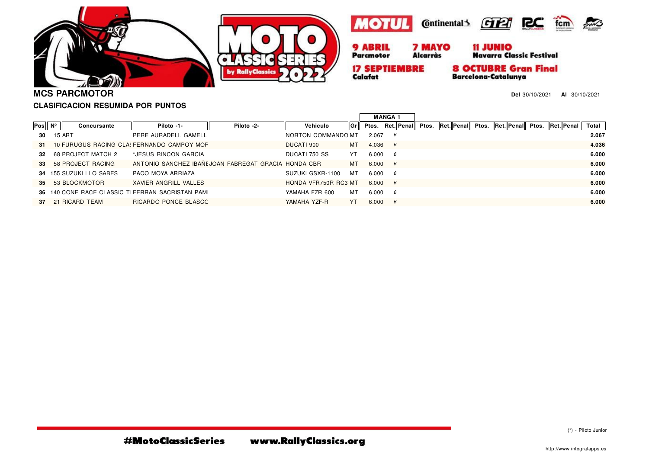





**Alcarràs** 



**17 SEPTIEMBRE** Calafat

**8 OCTUBRE Gran Final Barcelona-Catalunya** 

**Del** 30/10/2021 **Al** 30/10/2021

 $500$ 

**MCS PARCMOTOR**

# **CLASIFICACION RESUMIDA POR PUNTOS**

| llGrl<br>Ptos. Ret. Penal<br>Total<br>$Pos \mid N^{\circ} \mid$<br>Ret. Penal<br>Ret. Penal Ptos.<br>Ptos.<br>Ret. Penal<br>Vehiculo<br>Piloto -1-<br>Piloto -2-<br>Ptos.<br>Concursante<br>2.067<br>15 ART<br>NORTON COMMANDO MT<br>2.067<br>PERE AURADELL GAMELL<br>30<br>-6<br>4.036<br>10 FURUGUS RACING CLA! FERNANDO CAMPOY MOF<br>DUCATI 900<br>4.036<br>мт<br>6<br>-31<br>6.000<br>68 PROJECT MATCH 2<br>DUCATI 750 SS<br>*JESUS RINCON GARCIA<br>YT<br>6.000<br>32<br>- 6<br>ANTONIO SANCHEZ IBAÑI JOAN FABREGAT GRACIA HONDA CBR<br>6.000<br>58 PROJECT RACING<br>мт<br>6.000<br>6<br>33<br>6.000<br>34 155 SUZUKI I LO SABES<br>PACO MOYA ARRIAZA<br>SUZUKI GSXR-1100<br>мт<br>6.000<br>- 6 |
|--------------------------------------------------------------------------------------------------------------------------------------------------------------------------------------------------------------------------------------------------------------------------------------------------------------------------------------------------------------------------------------------------------------------------------------------------------------------------------------------------------------------------------------------------------------------------------------------------------------------------------------------------------------------------------------------------------|
|                                                                                                                                                                                                                                                                                                                                                                                                                                                                                                                                                                                                                                                                                                        |
|                                                                                                                                                                                                                                                                                                                                                                                                                                                                                                                                                                                                                                                                                                        |
|                                                                                                                                                                                                                                                                                                                                                                                                                                                                                                                                                                                                                                                                                                        |
|                                                                                                                                                                                                                                                                                                                                                                                                                                                                                                                                                                                                                                                                                                        |
|                                                                                                                                                                                                                                                                                                                                                                                                                                                                                                                                                                                                                                                                                                        |
|                                                                                                                                                                                                                                                                                                                                                                                                                                                                                                                                                                                                                                                                                                        |
| 6.000<br>HONDA VFR750R RC3 MT<br>35 53 BLOCKMOTOR<br>XAVIER ANGRILL VALLES<br>6.000 6                                                                                                                                                                                                                                                                                                                                                                                                                                                                                                                                                                                                                  |
| 6.000<br>36 140 CONE RACE CLASSIC TIFERRAN SACRISTAN PAM<br>мт<br>6.000<br>YAMAHA FZR 600<br>- 6                                                                                                                                                                                                                                                                                                                                                                                                                                                                                                                                                                                                       |
| 6.000<br>RICARDO PONCE BLASCC<br>YAMAHA YZF-R<br>21 RICARD TEAM<br>YT<br>6.000<br>-6<br>37                                                                                                                                                                                                                                                                                                                                                                                                                                                                                                                                                                                                             |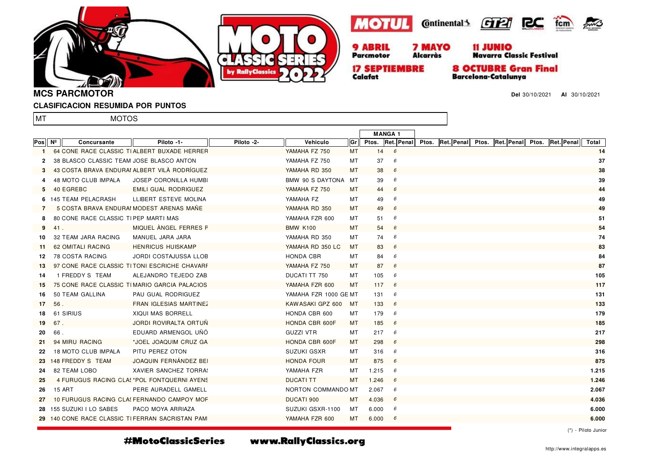







11 JUNIO<br>Navarra Classic Festival

**Alcarràs** 

**17 SEPTIEMBRE** Calafat

**Parcmotor** 

**8 OCTUBRE Gran Final Barcelona-Catalunya** 

**Del** 30/10/2021 **Al** 30/10/2021

**MCS PARCMOTOR**

#### **CLASIFICACION RESUMIDA POR PUNTOS**

MOTOS

lmt

|         |     |                                          |                                                 |            |                       |     | <b>MANGA1</b> |              |                                                                            |  |  |       |
|---------|-----|------------------------------------------|-------------------------------------------------|------------|-----------------------|-----|---------------|--------------|----------------------------------------------------------------------------|--|--|-------|
| Pos │Nº |     | <b>Concursante</b>                       | Piloto -1-                                      | Piloto -2- | Vehiculo              | Grl |               |              | <b>Pros. Ret. Penal Pros. Ret. Penal Pros. Ret. Penal Pros. Ret. Penal</b> |  |  | Total |
| 1       |     |                                          | 64 CONE RACE CLASSIC TIALBERT BUXADE HERRER     |            | YAMAHA FZ 750         | МT  |               | $14 \quad 6$ |                                                                            |  |  | 14    |
| 2       |     | 38 BLASCO CLASSIC TEAM JOSE BLASCO ANTON |                                                 |            | YAMAHA FZ 750         | МT  | 37            | 6            |                                                                            |  |  | 37    |
| 3       |     |                                          | 43 COSTA BRAVA ENDURAI ALBERT VILÀ RODRÍGUEZ    |            | YAMAHA RD 350         | MT. | 38            | 6            |                                                                            |  |  | 38    |
|         |     | <b>48 MOTO CLUB IMPALA</b>               | <b>JOSEP CORONILLA HUMB</b>                     |            | BMW 90 S DAYTONA MT   |     | 39            | 6            |                                                                            |  |  | 39    |
| 5       |     | 40 EGREBC                                | EMILI GUAL RODRIGUEZ                            |            | YAMAHA FZ 750         | MT  | 44            | 6            |                                                                            |  |  | 44    |
|         |     | 6 145 TEAM PELACRASH                     | LLIBERT ESTEVE MOLINA                           |            | YAMAHA FZ             | МT  | 49            | 6            |                                                                            |  |  | 49    |
| 7       |     |                                          | 5 COSTA BRAVA ENDURAI MODEST ARENAS MANE        |            | YAMAHA RD 350         | MT  | 49            | 6            |                                                                            |  |  | 49    |
| 8       |     | 80 CONE RACE CLASSIC TIPEP MARTI MAS     |                                                 |            | YAMAHA FZR 600        | MT  | 51            | 6            |                                                                            |  |  | 51    |
| 9       | 41. |                                          | MIQUEL ANGEL FERRES F                           |            | <b>BMW K100</b>       | MT  | 54            | 6            |                                                                            |  |  | 54    |
| 10      |     | 32 TEAM JARA RACING                      | MANUEL JARA JARA                                |            | YAMAHA RD 350         | MT  | 74            | 6            |                                                                            |  |  | 74    |
| -11     |     | 62 OMITALI RACING                        | <b>HENRICUS HUISKAMP</b>                        |            | YAMAHA RD 350 LC      | MT  | 83            | 6            |                                                                            |  |  | 83    |
| 12      |     | 78 COSTA RACING                          | JORDI COSTAJUSSA LLOB                           |            | HONDA CBR             | МT  | 84            | 6            |                                                                            |  |  | 84    |
| 13      |     |                                          | 97 CONE RACE CLASSIC TITONI ESCRICHE CHAVARE    |            | YAMAHA FZ 750         | MT  | 87            | 6            |                                                                            |  |  | 87    |
| 14      |     | 1 FREDDY S TEAM                          | ALEJANDRO TEJEDO ZAB                            |            | DUCATI TT 750         | MT  | 105           | - 6          |                                                                            |  |  | 105   |
| 15      |     |                                          | 75 CONE RACE CLASSIC TIMARIO GARCIA PALACIOS    |            | YAMAHA FZR 600        | MT. | 117           | 6            |                                                                            |  |  | 117   |
| 16      |     | 50 TEAM GALLINA                          | PAU GUAL RODRIGUEZ                              |            | YAMAHA FZR 1000 GE MT |     | 131           | - 6          |                                                                            |  |  | 131   |
| 17      | 56. |                                          | FRAN IGLESIAS MARTINEZ                          |            | KAW ASAKI GPZ 600     | MT  | 133           | 6            |                                                                            |  |  | 133   |
| 18      |     | 61 SIRIUS                                | <b>XIQUI MAS BORRELL</b>                        |            | HONDA CBR 600         | MT  | 179           | 6            |                                                                            |  |  | 179   |
| 19      | 67. |                                          | <b>JORDI ROVIRALTA ORTUN</b>                    |            | HONDA CBR 600F        | MT  | 185           | 6            |                                                                            |  |  | 185   |
| 20      | 66. |                                          | EDUARD ARMENGOL UNO                             |            | <b>GUZZI VTR</b>      | MT  | 217           | 6            |                                                                            |  |  | 217   |
| 21      |     | 94 MIRU RACING                           | *JOEL JOAQUIM CRUZ GA                           |            | HONDA CBR 600F        | MT  | 298           | 6            |                                                                            |  |  | 298   |
| 22      |     | 18 MOTO CLUB IMPALA                      | PITU PEREZ OTON                                 |            | SUZUKI GSXR           | MT  | 316           | 6            |                                                                            |  |  | 316   |
|         |     | 23 148 FREDDY S TEAM                     | JOAQUIN FERNANDEZ BEI                           |            | <b>HONDA FOUR</b>     | MT  | 875           | 6            |                                                                            |  |  | 875   |
| 24      |     | 82 TEAM LOBO                             | XAVIER SANCHEZ TORRA!                           |            | YAMAHA FZR            | MT  | 1.215         | - 6          |                                                                            |  |  | 1.215 |
| 25      |     |                                          | 4 FURUGUS RACING CLAS *POL FONTQUERNI AYENS     |            | <b>DUCATI TT</b>      | MT. | 1.246         | 6            |                                                                            |  |  | 1.246 |
| 26      |     | <b>15 ART</b>                            | PERE AURADELL GAMELL                            |            | NORTON COMMANDO MT    |     | 2.067         | 6            |                                                                            |  |  | 2.067 |
| 27      |     |                                          | 10 FURUGUS RACING CLA! FERNANDO CAMPOY MOF      |            | DUCATI 900            | MT. | 4.036         | 6            |                                                                            |  |  | 4.036 |
|         |     | 28 155 SUZUKI I LO SABES                 | PACO MOYA ARRIAZA                               |            | SUZUKI GSXR-1100      | МT  | 6.000         | 6            |                                                                            |  |  | 6.000 |
|         |     |                                          | 29 140 CONE RACE CLASSIC TIFERRAN SACRISTAN PAM |            | YAMAHA FZR 600        | MT  | 6.000         | 6            |                                                                            |  |  | 6.000 |

#MotoClassicSeries

www.RallyClassics.org

(\*) - Piloto Junior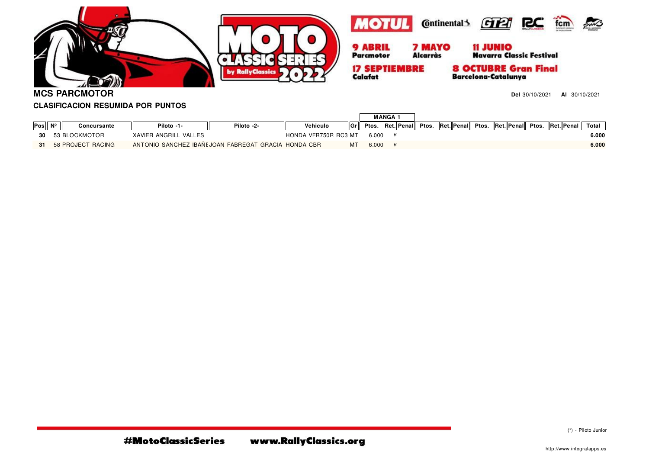





**17 SEPTIEMBRE** Calafat

**8 OCTUBRE Gran Final Barcelona-Catalunya** 

**MCS PARCMOTOR**

**Del** 30/10/2021 **Al** 30/10/2021

## **CLASIFICACION RESUMIDA POR PUNTOS**

| Pos | $N^2$ | Concursante          | Piloto -1-                                           | Piloto -2- | Vehiculo             |  | Gr Ptos. |  |  |  | Ret. Penal Ptos. Ret. Penal Ptos. Ret. Penal Ptos. Ret. Penal |  |  | Total |
|-----|-------|----------------------|------------------------------------------------------|------------|----------------------|--|----------|--|--|--|---------------------------------------------------------------|--|--|-------|
|     |       | 30 53 BLOCKMOTOR     | XAVIER ANGRILL VALLES                                |            | HONDA VFR750R RC3 MT |  | 6.000    |  |  |  |                                                               |  |  | 6.000 |
|     |       | 31 58 PROJECT RACING | ANTONIO SANCHEZ IBANI JOAN FABREGAT GRACIA HONDA CBR |            |                      |  | 6.000    |  |  |  |                                                               |  |  | 6.000 |

(\*) - Piloto Junior